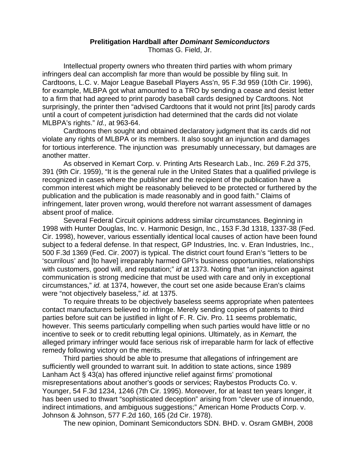## **Prelitigation Hardball after** *Dominant Semiconductors*

Thomas G. Field, Jr.

 Intellectual property owners who threaten third parties with whom primary infringers deal can accomplish far more than would be possible by filing suit. In Cardtoons, L.C. v. Major League Baseball Players Ass'n, 95 F.3d 959 (10th Cir. 1996), for example, MLBPA got what amounted to a TRO by sending a cease and desist letter to a firm that had agreed to print parody baseball cards designed by Cardtoons. Not surprisingly, the printer then "advised Cardtoons that it would not print [its] parody cards until a court of competent jurisdiction had determined that the cards did not violate MLBPA's rights." *Id.,* at 963-64.

 Cardtoons then sought and obtained declaratory judgment that its cards did not violate any rights of MLBPA or its members. It also sought an injunction and damages for tortious interference. The injunction was presumably unnecessary, but damages are another matter.

 As observed in Kemart Corp. v. Printing Arts Research Lab., Inc. 269 F.2d 375, 391 (9th Cir. 1959), "It is the general rule in the United States that a qualified privilege is recognized in cases where the publisher and the recipient of the publication have a common interest which might be reasonably believed to be protected or furthered by the publication and the publication is made reasonably and in good faith." Claims of infringement, later proven wrong, would therefore not warrant assessment of damages absent proof of malice.

 Several Federal Circuit opinions address similar circumstances. Beginning in 1998 with Hunter Douglas, Inc. v. Harmonic Design, Inc., 153 F.3d 1318, 1337-38 (Fed. Cir. 1998), however, various essentially identical local causes of action have been found subject to a federal defense. In that respect, GP Industries, Inc. v. Eran Industries, Inc., 500 F.3d 1369 (Fed. Cir. 2007) is typical. The district court found Eran's "letters to be 'scurrilous' and [to have] irreparably harmed GPI's business opportunities, relationships with customers, good will, and reputation;" *id* at 1373. Noting that "an injunction against communication is strong medicine that must be used with care and only in exceptional circumstances," *id.* at 1374, however, the court set one aside because Eran's claims were "not objectively baseless," *id.* at 1375.

 To require threats to be objectively baseless seems appropriate when patentees contact manufacturers believed to infringe. Merely sending copies of patents to third parties before suit can be justified in light of F. R. Civ. Pro. 11 seems problematic, however. This seems particularly compelling when such parties would have little or no incentive to seek or to credit rebutting legal opinions. Ultimately, as in *Kemart,* the alleged primary infringer would face serious risk of irreparable harm for lack of effective remedy following victory on the merits.

 Third parties should be able to presume that allegations of infringement are sufficiently well grounded to warrant suit. In addition to state actions, since 1989 Lanham Act § 43(a) has offered injunctive relief against firms' promotional misrepresentations about another's goods or services; Raybestos Products Co. v. Younger, 54 F.3d 1234, 1246 (7th Cir. 1995). Moreover, for at least ten years longer, it has been used to thwart "sophisticated deception" arising from "clever use of innuendo, indirect intimations, and ambiguous suggestions;" American Home Products Corp. v. Johnson & Johnson, 577 F.2d 160, 165 (2d Cir. 1978).

The new opinion, Dominant Semiconductors SDN. BHD. v. Osram GMBH, 2008